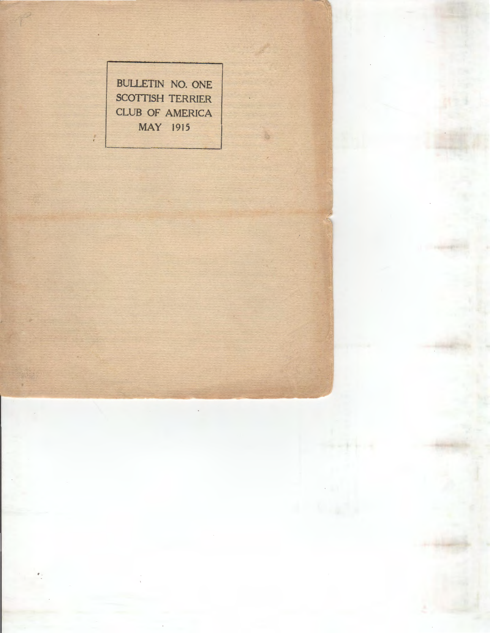BULLETIN NO. ONE SCOTTISH TERRIER CLUB OF AMERICA MAY 1915

 $-2 - 1 - 1 - 1$ 

J.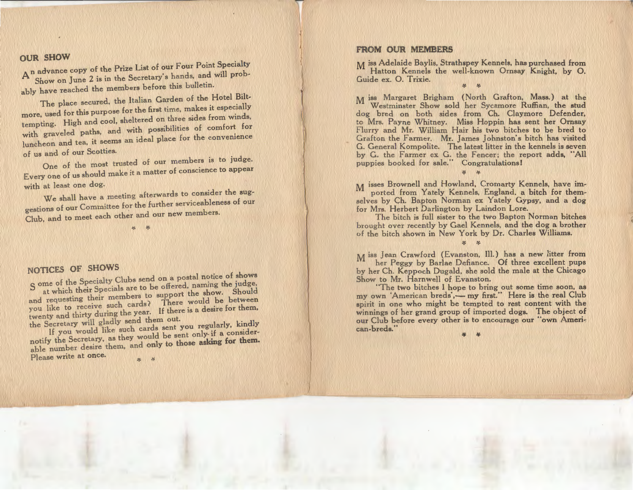OUR SHOW<br>An advance copy of the Prize List of our Four Point Specialty Show on June 2 is in the Secretary's hands, and will probably have reached the members before this bulletin.

The place secured, the Italian Garden of the Hotel Bilt-

more, used for this purpose for the first time, makes it especially tempting. High and cool. sheltered on three sides from winds, with graveled paths, and with possibilities of comfort for luncheon and tea, it seems an ideal place for the convenience of us and of our Scotties.

One of the most trusted of our members is to judge. Every one of us should make it a matter of conscience to appear with at least one dog.

We shall have a meeting afterwards to consider the suggestions of our Committee for the further serviceableness of our Club, and to meet each other and our new members.

 $x^2$ 

NOTICES OF SHOWS

s are of the Specialty Clubs send on a postal notice of shows at which their Specials are to be offered, naming the judge B at which their Specials are to be offered, naming the judge, and requesting their members to support the show. Should you like to receive such cards? There would be between twenty and thirty during the year. If there is a desire for them, the Secretary will gladly send them out.

If you would like such cards sent you regularly, kindly notify the Secretary, as they would be sent only- if a considerable number desire them, and only to those asking for them.

Please write at once.

# FROM OUR MEMBERS

j

M iss Adelaide Baylis, Strathspey Kennels, has purchased from Hatton Kennels the well-known Ornsay Knight, by 0. Guide ex. 0. Trixie.  $\cdot$   $\cdot$ 

M iss Margaret Brigham {North Grafton, Mass.) at the Westminster Show sold her Sycamore Ruffian, the stud dog bred on both sides from Ch. Claymore Defender, to Mrs. Payne Whitney. Miss Hoppin has sent her Ornsay Flurry and Mr. William Hair his two bitches to be bred to Grafton the Farmer. Mr. James Johnston's bitch has visited G. General Kompolite. The latest litter in the kennels is seven by G. the Farmer ex G. the Fencer; the report adds, "All puppies booked for sale." Congratulations!

M isses Brownell and Howland, Cromarty Kennels, have imported from Yately Kennels, England, a bitch for themselves by Ch. Bapton Norman ex Yately Gypsy, and a dog for Mrs. Herbert Darlington by Laindon Lore.

 $\Delta p$ 

The bitch is full sister to the two Bapton Norman bitches brought over recently by Gael Kennels, and the dog a brother of the bitch shown in New York by Dr. Charles Williams.

 $-36$ 

 $M$  iss Jean Crawford (Evanston, III.) has a new litter from her Peggy by Barlae Defiance. Of three excellent pups by her Ch. Keppoch Dugald, she sold the male at the Chicago Show to Mr. Harnwell of Evanston.

 "The two bitches I hope to bring out some time soon, as my own 'American breds',- my first." Here is the real Club spirit in one who might be tempted to rest content with the winnings of her grand group of imported dogs. The object of our Club before every other is to encourage our "own American-breds."

¥ ¥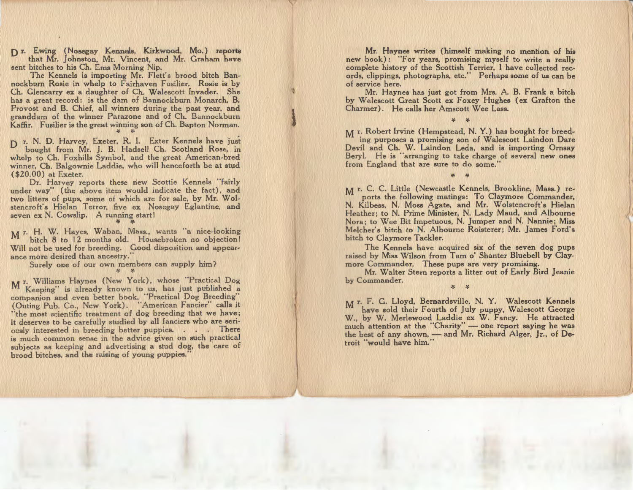0 r. Ewing (Nosegay Kennels, Kirkwood, Mo.) reports that Mr. johnston, Mr. Vincent, and Mr. Graham have sent bitches to his Ch. Ems Morning Nip.

The Kennels is importing Mr. Flett's brood bitch Bannockburn Rosie in whelp to Fairhaven Fusilier. Rosie is by Ch. Glencarry ex a daughter of Ch. Walescott Invader. She has a great record: is the dam of Bannockburn Monarch, B. Provost and B. Chief, all winners during the past year, and granddam of the winner Parazone and of Ch. Bannockburn Kaffir. Fusilier is the great winning son of Ch. Bapton Norman.

D r. N. D. Harvey, Exeter, R. I. Exter Kennels have just bought from Mr. J. B. Hadsell Ch. Scotland Rose, in whelp to Ch. Foxhills Symbol, and the great American-bred winner, Ch. Balgownie Laddie, who will henceforth be at stud (\$20.00) at Exeter.

Dr. Harvey reports these new Scottie Kennels "fairly under way" (the above item would indicate the fact), and two litters of pups, some of which are for sale, by Mr. Wolstencroft's Hielan Terror, five ex Nosegay Eglantine, and seven ex N. Cowslip. A running start!

*>(. >(.* 

M r. H. W. Hayes, Waban, Mass., wants a nice-looking bitch 8 to 12 months old. Housebroken no objection! Will not be used for breeding. Good disposition and appearance more desired than ancestry."

Surely one of our own members can supply him? *>(. :(.* 

M r. Williams Haynes (New York), whose Fractical Dog Keeping" is already known to us, has just published a companion and even better book, "Practical Dog Breeding" (Outing Pub. Co., New York). American Fancier calls it "the most scientific treatment of dog breeding that we have; it deserves to be carefully studied by all fanciers who are seriously interested in breeding better puppies. . . . There is much common sense in the advice given on such practical subjects as keeping and advertising a stud dog, the care of brood bitches, and the raising of young puppies."

Mr. Haynes writes (himself making no mention of his new book) : "For years, promising myself to write a really complete history of the Scottish Terrier, I have collected records, clippings, photographs, etc." Perhaps some of us can be of service here.

 Mr. Haynes has just got from Mrs. A. B. Frank a bitch by Walescott Great Scott ex Foxey Hughes (ex Grafton the Charmer) . He calls her Amscott Wee Lass.

*>(. >(.* 

Mr. Robert Irvine (Hempstead, N. Y.) has bought for breeding purposes a promising son of Walescott Laindon Dare Devil and Ch. W. Laindon Leda, and is importing Ornsay Beryl. He is "arranging to take charge of several new ones from England that are sure to do some."

*>(. >(.* 

M r. C. C. Little (Newcastle Kennels, Brookline, Mass.) reports the following matings: To Claymore Commander, N. Kilbess, N. Moss Agate, and Mr. Wolstencroft's Hielan Heather; to N. Prime Minister, N. Lady Maud, and Albourne Nora; to Wee Bit Impetuous, N. Jumper and N. Nannie; Miss Melcher's bitch to N. Albourne Roisterer; Mr. James Ford's bitch to Claymore Tackler.

The Kennels have acquired six of the seven dog pups raised by Miss Wilson from Tam o' Shanter Bluebell by Claymore Commander. These pups are very promising.

Mr. Walter Stern reports a litter out of Early Bird Jeanie by Commander. *>(. >(.* 

M r. F. G. Lloyd, Bernardsville, N. Y. Walescott Kennels have sold their Fourth of July puppy, Walescott George W., by W. Merlewood Laddie ex W. Fancy. He attracted much attention at the "Charity" - one report saying he was the best of any shown, — and Mr. Richard Alger, Jr., of Detroit "would have him."